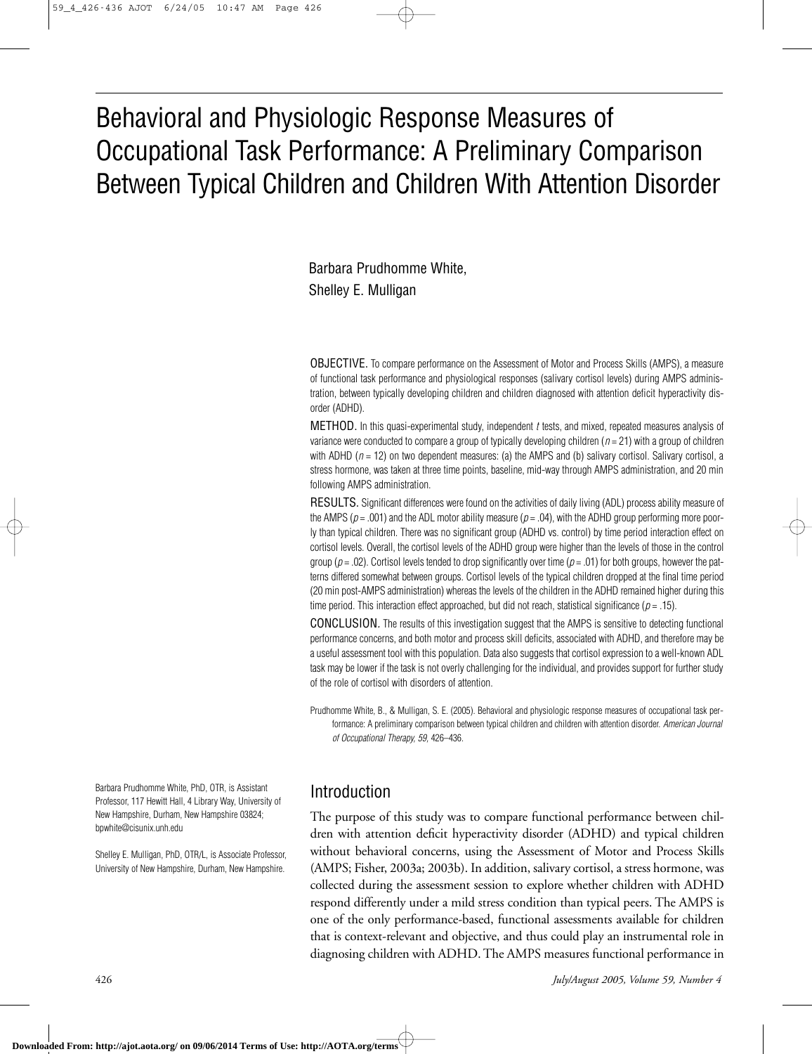# Behavioral and Physiologic Response Measures of Occupational Task Performance: A Preliminary Comparison Between Typical Children and Children With Attention Disorder

Barbara Prudhomme White, Shelley E. Mulligan

OBJECTIVE. To compare performance on the Assessment of Motor and Process Skills (AMPS), a measure of functional task performance and physiological responses (salivary cortisol levels) during AMPS administration, between typically developing children and children diagnosed with attention deficit hyperactivity disorder (ADHD).

METHOD. In this quasi-experimental study, independent *t* tests, and mixed, repeated measures analysis of variance were conducted to compare a group of typically developing children (*n* = 21) with a group of children with ADHD ( $n = 12$ ) on two dependent measures: (a) the AMPS and (b) salivary cortisol. Salivary cortisol, a stress hormone, was taken at three time points, baseline, mid-way through AMPS administration, and 20 min following AMPS administration.

RESULTS. Significant differences were found on the activities of daily living (ADL) process ability measure of the AMPS ( $p = .001$ ) and the ADL motor ability measure ( $p = .04$ ), with the ADHD group performing more poorly than typical children. There was no significant group (ADHD vs. control) by time period interaction effect on cortisol levels. Overall, the cortisol levels of the ADHD group were higher than the levels of those in the control group ( $p = .02$ ). Cortisol levels tended to drop significantly over time ( $p = .01$ ) for both groups, however the patterns differed somewhat between groups. Cortisol levels of the typical children dropped at the final time period (20 min post-AMPS administration) whereas the levels of the children in the ADHD remained higher during this time period. This interaction effect approached, but did not reach, statistical significance (*p* = .15).

CONCLUSION*.* The results of this investigation suggest that the AMPS is sensitive to detecting functional performance concerns, and both motor and process skill deficits, associated with ADHD, and therefore may be a useful assessment tool with this population. Data also suggests that cortisol expression to a well-known ADL task may be lower if the task is not overly challenging for the individual, and provides support for further study of the role of cortisol with disorders of attention.

Prudhomme White, B., & Mulligan, S. E. (2005). Behavioral and physiologic response measures of occupational task performance: A preliminary comparison between typical children and children with attention disorder. *American Journal of Occupational Therapy, 59,* 426–436.

Barbara Prudhomme White, PhD, OTR, is Assistant Professor, 117 Hewitt Hall, 4 Library Way, University of New Hampshire, Durham, New Hampshire 03824; bpwhite@cisunix.unh.edu

Shelley E. Mulligan, PhD, OTR/L, is Associate Professor, University of New Hampshire, Durham, New Hampshire.

### Introduction

The purpose of this study was to compare functional performance between children with attention deficit hyperactivity disorder (ADHD) and typical children without behavioral concerns, using the Assessment of Motor and Process Skills (AMPS; Fisher, 2003a; 2003b). In addition, salivary cortisol, a stress hormone, was collected during the assessment session to explore whether children with ADHD respond differently under a mild stress condition than typical peers. The AMPS is one of the only performance-based, functional assessments available for children that is context-relevant and objective, and thus could play an instrumental role in diagnosing children with ADHD. The AMPS measures functional performance in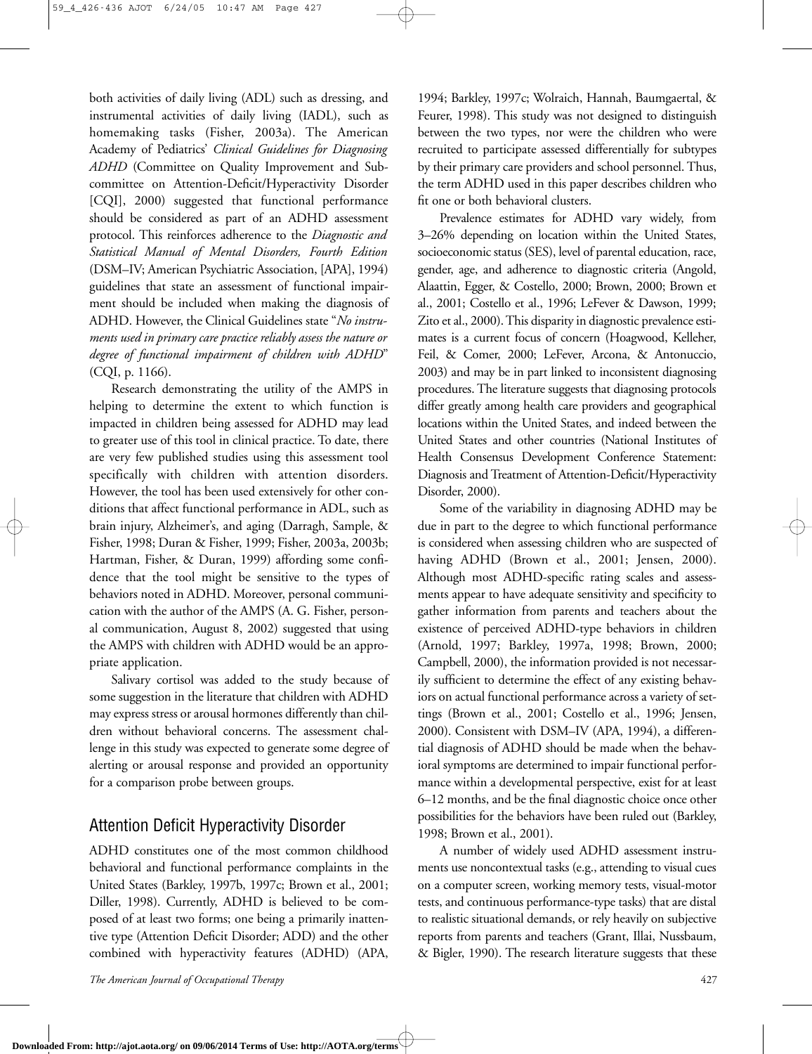both activities of daily living (ADL) such as dressing, and instrumental activities of daily living (IADL), such as homemaking tasks (Fisher, 2003a). The American Academy of Pediatrics' *Clinical Guidelines for Diagnosing ADHD* (Committee on Quality Improvement and Subcommittee on Attention-Deficit/Hyperactivity Disorder [CQI], 2000) suggested that functional performance should be considered as part of an ADHD assessment protocol. This reinforces adherence to the *Diagnostic and Statistical Manual of Mental Disorders, Fourth Edition* (DSM–IV; American Psychiatric Association, [APA], 1994) guidelines that state an assessment of functional impairment should be included when making the diagnosis of ADHD. However, the Clinical Guidelines state "*No instruments used in primary care practice reliably assess the nature or degree of functional impairment of children with ADHD*" (CQI, p. 1166).

Research demonstrating the utility of the AMPS in helping to determine the extent to which function is impacted in children being assessed for ADHD may lead to greater use of this tool in clinical practice. To date, there are very few published studies using this assessment tool specifically with children with attention disorders. However, the tool has been used extensively for other conditions that affect functional performance in ADL, such as brain injury, Alzheimer's, and aging (Darragh, Sample, & Fisher, 1998; Duran & Fisher, 1999; Fisher, 2003a, 2003b; Hartman, Fisher, & Duran, 1999) affording some confidence that the tool might be sensitive to the types of behaviors noted in ADHD. Moreover, personal communication with the author of the AMPS (A. G. Fisher, personal communication, August 8, 2002) suggested that using the AMPS with children with ADHD would be an appropriate application.

Salivary cortisol was added to the study because of some suggestion in the literature that children with ADHD may express stress or arousal hormones differently than children without behavioral concerns. The assessment challenge in this study was expected to generate some degree of alerting or arousal response and provided an opportunity for a comparison probe between groups.

### Attention Deficit Hyperactivity Disorder

ADHD constitutes one of the most common childhood behavioral and functional performance complaints in the United States (Barkley, 1997b, 1997c; Brown et al., 2001; Diller, 1998). Currently, ADHD is believed to be composed of at least two forms; one being a primarily inattentive type (Attention Deficit Disorder; ADD) and the other combined with hyperactivity features (ADHD) (APA, 1994; Barkley, 1997c; Wolraich, Hannah, Baumgaertal, & Feurer, 1998). This study was not designed to distinguish between the two types, nor were the children who were recruited to participate assessed differentially for subtypes by their primary care providers and school personnel. Thus, the term ADHD used in this paper describes children who fit one or both behavioral clusters.

Prevalence estimates for ADHD vary widely, from 3–26% depending on location within the United States, socioeconomic status (SES), level of parental education, race, gender, age, and adherence to diagnostic criteria (Angold, Alaattin, Egger, & Costello, 2000; Brown, 2000; Brown et al., 2001; Costello et al., 1996; LeFever & Dawson, 1999; Zito et al., 2000). This disparity in diagnostic prevalence estimates is a current focus of concern (Hoagwood, Kelleher, Feil, & Comer, 2000; LeFever, Arcona, & Antonuccio, 2003) and may be in part linked to inconsistent diagnosing procedures. The literature suggests that diagnosing protocols differ greatly among health care providers and geographical locations within the United States, and indeed between the United States and other countries (National Institutes of Health Consensus Development Conference Statement: Diagnosis and Treatment of Attention-Deficit/Hyperactivity Disorder, 2000).

Some of the variability in diagnosing ADHD may be due in part to the degree to which functional performance is considered when assessing children who are suspected of having ADHD (Brown et al., 2001; Jensen, 2000). Although most ADHD-specific rating scales and assessments appear to have adequate sensitivity and specificity to gather information from parents and teachers about the existence of perceived ADHD-type behaviors in children (Arnold, 1997; Barkley, 1997a, 1998; Brown, 2000; Campbell, 2000), the information provided is not necessarily sufficient to determine the effect of any existing behaviors on actual functional performance across a variety of settings (Brown et al., 2001; Costello et al., 1996; Jensen, 2000). Consistent with DSM–IV (APA, 1994), a differential diagnosis of ADHD should be made when the behavioral symptoms are determined to impair functional performance within a developmental perspective, exist for at least 6–12 months, and be the final diagnostic choice once other possibilities for the behaviors have been ruled out (Barkley, 1998; Brown et al., 2001).

A number of widely used ADHD assessment instruments use noncontextual tasks (e.g., attending to visual cues on a computer screen, working memory tests, visual-motor tests, and continuous performance-type tasks) that are distal to realistic situational demands, or rely heavily on subjective reports from parents and teachers (Grant, Illai, Nussbaum, & Bigler, 1990). The research literature suggests that these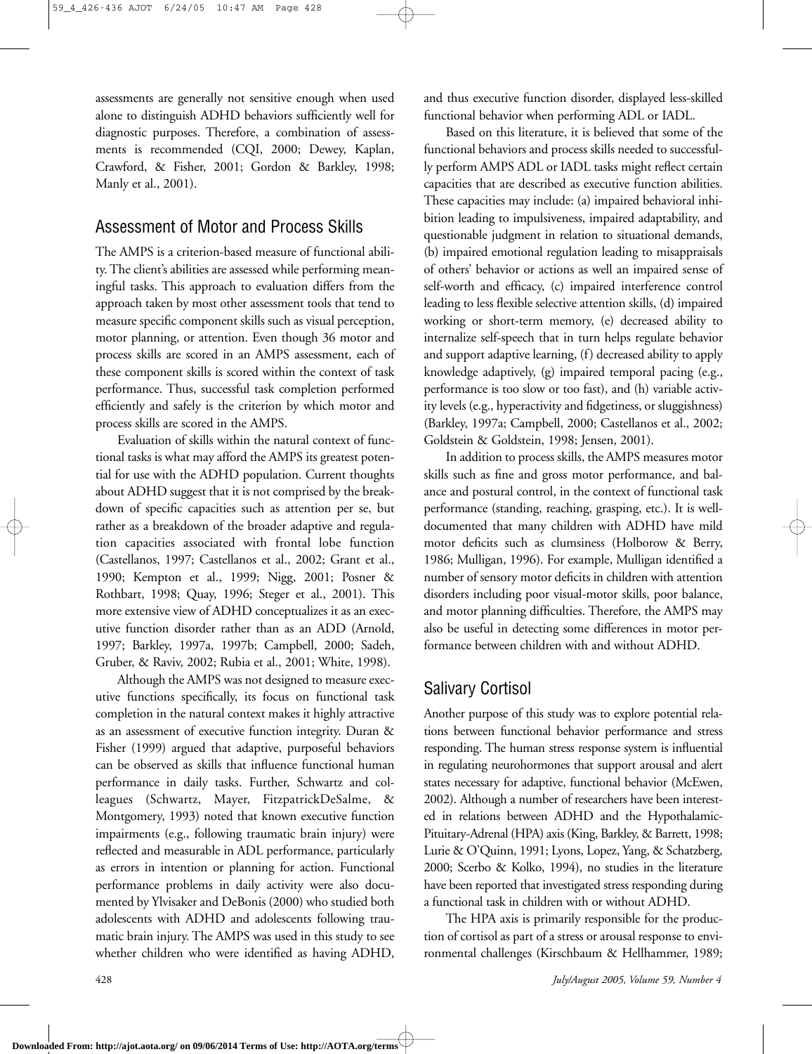assessments are generally not sensitive enough when used alone to distinguish ADHD behaviors sufficiently well for diagnostic purposes. Therefore, a combination of assessments is recommended (CQI, 2000; Dewey, Kaplan, Crawford, & Fisher, 2001; Gordon & Barkley, 1998; Manly et al., 2001).

### Assessment of Motor and Process Skills

The AMPS is a criterion-based measure of functional ability. The client's abilities are assessed while performing meaningful tasks. This approach to evaluation differs from the approach taken by most other assessment tools that tend to measure specific component skills such as visual perception, motor planning, or attention. Even though 36 motor and process skills are scored in an AMPS assessment, each of these component skills is scored within the context of task performance. Thus, successful task completion performed efficiently and safely is the criterion by which motor and process skills are scored in the AMPS.

Evaluation of skills within the natural context of functional tasks is what may afford the AMPS its greatest potential for use with the ADHD population. Current thoughts about ADHD suggest that it is not comprised by the breakdown of specific capacities such as attention per se, but rather as a breakdown of the broader adaptive and regulation capacities associated with frontal lobe function (Castellanos, 1997; Castellanos et al., 2002; Grant et al., 1990; Kempton et al., 1999; Nigg, 2001; Posner & Rothbart, 1998; Quay, 1996; Steger et al., 2001). This more extensive view of ADHD conceptualizes it as an executive function disorder rather than as an ADD (Arnold, 1997; Barkley, 1997a, 1997b; Campbell, 2000; Sadeh, Gruber, & Raviv, 2002; Rubia et al., 2001; White, 1998).

Although the AMPS was not designed to measure executive functions specifically, its focus on functional task completion in the natural context makes it highly attractive as an assessment of executive function integrity. Duran & Fisher (1999) argued that adaptive, purposeful behaviors can be observed as skills that influence functional human performance in daily tasks. Further, Schwartz and colleagues (Schwartz, Mayer, FitzpatrickDeSalme, & Montgomery, 1993) noted that known executive function impairments (e.g., following traumatic brain injury) were reflected and measurable in ADL performance, particularly as errors in intention or planning for action. Functional performance problems in daily activity were also documented by Ylvisaker and DeBonis (2000) who studied both adolescents with ADHD and adolescents following traumatic brain injury. The AMPS was used in this study to see whether children who were identified as having ADHD,

and thus executive function disorder, displayed less-skilled functional behavior when performing ADL or IADL.

Based on this literature, it is believed that some of the functional behaviors and process skills needed to successfully perform AMPS ADL or IADL tasks might reflect certain capacities that are described as executive function abilities. These capacities may include: (a) impaired behavioral inhibition leading to impulsiveness, impaired adaptability, and questionable judgment in relation to situational demands, (b) impaired emotional regulation leading to misappraisals of others' behavior or actions as well an impaired sense of self-worth and efficacy, (c) impaired interference control leading to less flexible selective attention skills, (d) impaired working or short-term memory, (e) decreased ability to internalize self-speech that in turn helps regulate behavior and support adaptive learning, (f) decreased ability to apply knowledge adaptively, (g) impaired temporal pacing (e.g., performance is too slow or too fast), and (h) variable activity levels (e.g., hyperactivity and fidgetiness, or sluggishness) (Barkley, 1997a; Campbell, 2000; Castellanos et al., 2002; Goldstein & Goldstein, 1998; Jensen, 2001).

In addition to process skills, the AMPS measures motor skills such as fine and gross motor performance, and balance and postural control, in the context of functional task performance (standing, reaching, grasping, etc.). It is welldocumented that many children with ADHD have mild motor deficits such as clumsiness (Holborow & Berry, 1986; Mulligan, 1996). For example, Mulligan identified a number of sensory motor deficits in children with attention disorders including poor visual-motor skills, poor balance, and motor planning difficulties. Therefore, the AMPS may also be useful in detecting some differences in motor performance between children with and without ADHD.

### Salivary Cortisol

Another purpose of this study was to explore potential relations between functional behavior performance and stress responding. The human stress response system is influential in regulating neurohormones that support arousal and alert states necessary for adaptive, functional behavior (McEwen, 2002). Although a number of researchers have been interested in relations between ADHD and the Hypothalamic-Pituitary-Adrenal (HPA) axis (King, Barkley, & Barrett, 1998; Lurie & O'Quinn, 1991; Lyons, Lopez, Yang, & Schatzberg, 2000; Scerbo & Kolko, 1994), no studies in the literature have been reported that investigated stress responding during a functional task in children with or without ADHD.

The HPA axis is primarily responsible for the production of cortisol as part of a stress or arousal response to environmental challenges (Kirschbaum & Hellhammer, 1989;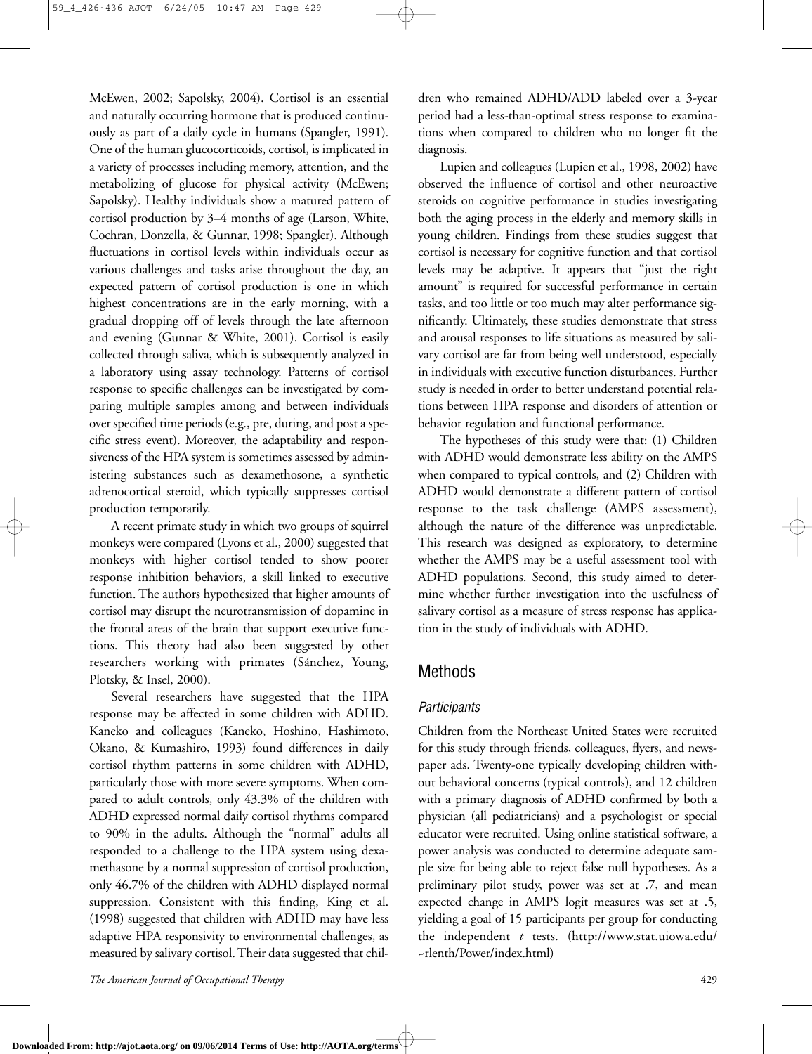McEwen, 2002; Sapolsky, 2004). Cortisol is an essential and naturally occurring hormone that is produced continuously as part of a daily cycle in humans (Spangler, 1991). One of the human glucocorticoids, cortisol, is implicated in a variety of processes including memory, attention, and the metabolizing of glucose for physical activity (McEwen; Sapolsky). Healthy individuals show a matured pattern of cortisol production by 3–4 months of age (Larson, White, Cochran, Donzella, & Gunnar, 1998; Spangler). Although fluctuations in cortisol levels within individuals occur as various challenges and tasks arise throughout the day, an expected pattern of cortisol production is one in which highest concentrations are in the early morning, with a gradual dropping off of levels through the late afternoon and evening (Gunnar & White, 2001). Cortisol is easily collected through saliva, which is subsequently analyzed in a laboratory using assay technology. Patterns of cortisol response to specific challenges can be investigated by comparing multiple samples among and between individuals over specified time periods (e.g., pre, during, and post a specific stress event). Moreover, the adaptability and responsiveness of the HPA system is sometimes assessed by administering substances such as dexamethosone, a synthetic adrenocortical steroid, which typically suppresses cortisol production temporarily.

A recent primate study in which two groups of squirrel monkeys were compared (Lyons et al., 2000) suggested that monkeys with higher cortisol tended to show poorer response inhibition behaviors, a skill linked to executive function. The authors hypothesized that higher amounts of cortisol may disrupt the neurotransmission of dopamine in the frontal areas of the brain that support executive functions. This theory had also been suggested by other researchers working with primates (Sánchez, Young, Plotsky, & Insel, 2000).

Several researchers have suggested that the HPA response may be affected in some children with ADHD. Kaneko and colleagues (Kaneko, Hoshino, Hashimoto, Okano, & Kumashiro, 1993) found differences in daily cortisol rhythm patterns in some children with ADHD, particularly those with more severe symptoms. When compared to adult controls, only 43.3% of the children with ADHD expressed normal daily cortisol rhythms compared to 90% in the adults. Although the "normal" adults all responded to a challenge to the HPA system using dexamethasone by a normal suppression of cortisol production, only 46.7% of the children with ADHD displayed normal suppression. Consistent with this finding, King et al. (1998) suggested that children with ADHD may have less adaptive HPA responsivity to environmental challenges, as measured by salivary cortisol. Their data suggested that children who remained ADHD/ADD labeled over a 3-year period had a less-than-optimal stress response to examinations when compared to children who no longer fit the diagnosis.

Lupien and colleagues (Lupien et al., 1998, 2002) have observed the influence of cortisol and other neuroactive steroids on cognitive performance in studies investigating both the aging process in the elderly and memory skills in young children. Findings from these studies suggest that cortisol is necessary for cognitive function and that cortisol levels may be adaptive. It appears that "just the right amount" is required for successful performance in certain tasks, and too little or too much may alter performance significantly. Ultimately, these studies demonstrate that stress and arousal responses to life situations as measured by salivary cortisol are far from being well understood, especially in individuals with executive function disturbances. Further study is needed in order to better understand potential relations between HPA response and disorders of attention or behavior regulation and functional performance.

The hypotheses of this study were that: (1) Children with ADHD would demonstrate less ability on the AMPS when compared to typical controls, and (2) Children with ADHD would demonstrate a different pattern of cortisol response to the task challenge (AMPS assessment), although the nature of the difference was unpredictable. This research was designed as exploratory, to determine whether the AMPS may be a useful assessment tool with ADHD populations. Second, this study aimed to determine whether further investigation into the usefulness of salivary cortisol as a measure of stress response has application in the study of individuals with ADHD.

### Methods

### *Participants*

Children from the Northeast United States were recruited for this study through friends, colleagues, flyers, and newspaper ads. Twenty-one typically developing children without behavioral concerns (typical controls), and 12 children with a primary diagnosis of ADHD confirmed by both a physician (all pediatricians) and a psychologist or special educator were recruited. Using online statistical software, a power analysis was conducted to determine adequate sample size for being able to reject false null hypotheses. As a preliminary pilot study, power was set at .7, and mean expected change in AMPS logit measures was set at .5, yielding a goal of 15 participants per group for conducting the independent *t* tests. (http://www.stat.uiowa.edu/ ~rlenth/Power/index.html)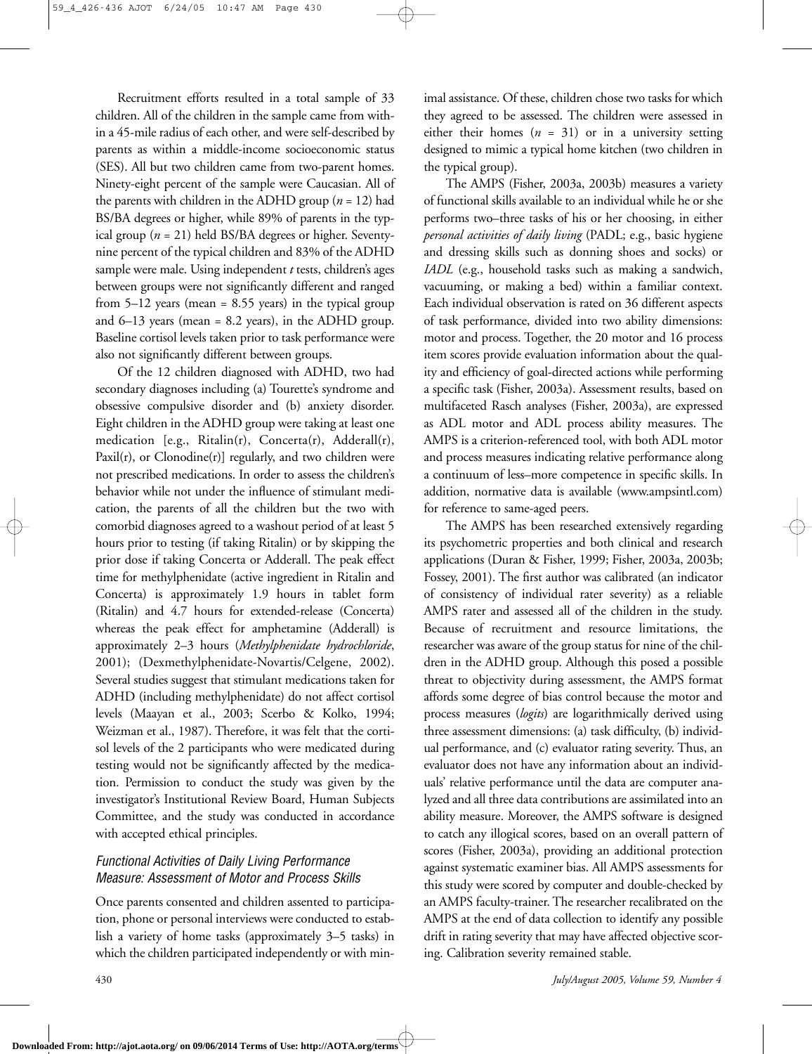Recruitment efforts resulted in a total sample of 33 children. All of the children in the sample came from within a 45-mile radius of each other, and were self-described by parents as within a middle-income socioeconomic status (SES). All but two children came from two-parent homes. Ninety-eight percent of the sample were Caucasian. All of the parents with children in the ADHD group ( $n = 12$ ) had BS/BA degrees or higher, while 89% of parents in the typical group (*n* = 21) held BS/BA degrees or higher. Seventynine percent of the typical children and 83% of the ADHD sample were male. Using independent *t* tests, children's ages between groups were not significantly different and ranged from 5–12 years (mean = 8.55 years) in the typical group and 6–13 years (mean = 8.2 years), in the ADHD group. Baseline cortisol levels taken prior to task performance were also not significantly different between groups.

Of the 12 children diagnosed with ADHD, two had secondary diagnoses including (a) Tourette's syndrome and obsessive compulsive disorder and (b) anxiety disorder. Eight children in the ADHD group were taking at least one medication [e.g., Ritalin(r), Concerta(r), Adderall(r), Paxil(r), or Clonodine(r)] regularly, and two children were not prescribed medications. In order to assess the children's behavior while not under the influence of stimulant medication, the parents of all the children but the two with comorbid diagnoses agreed to a washout period of at least 5 hours prior to testing (if taking Ritalin) or by skipping the prior dose if taking Concerta or Adderall. The peak effect time for methylphenidate (active ingredient in Ritalin and Concerta) is approximately 1.9 hours in tablet form (Ritalin) and 4.7 hours for extended-release (Concerta) whereas the peak effect for amphetamine (Adderall) is approximately 2–3 hours (*Methylphenidate hydrochloride*, 2001); (Dexmethylphenidate-Novartis/Celgene, 2002). Several studies suggest that stimulant medications taken for ADHD (including methylphenidate) do not affect cortisol levels (Maayan et al., 2003; Scerbo & Kolko, 1994; Weizman et al., 1987). Therefore, it was felt that the cortisol levels of the 2 participants who were medicated during testing would not be significantly affected by the medication. Permission to conduct the study was given by the investigator's Institutional Review Board, Human Subjects Committee, and the study was conducted in accordance with accepted ethical principles.

### *Functional Activities of Daily Living Performance Measure: Assessment of Motor and Process Skills*

Once parents consented and children assented to participation, phone or personal interviews were conducted to establish a variety of home tasks (approximately 3–5 tasks) in which the children participated independently or with minimal assistance. Of these, children chose two tasks for which they agreed to be assessed. The children were assessed in either their homes  $(n = 31)$  or in a university setting designed to mimic a typical home kitchen (two children in the typical group).

The AMPS (Fisher, 2003a, 2003b) measures a variety of functional skills available to an individual while he or she performs two–three tasks of his or her choosing, in either *personal activities of daily living* (PADL; e.g., basic hygiene and dressing skills such as donning shoes and socks) or *IADL* (e.g., household tasks such as making a sandwich, vacuuming, or making a bed) within a familiar context. Each individual observation is rated on 36 different aspects of task performance, divided into two ability dimensions: motor and process. Together, the 20 motor and 16 process item scores provide evaluation information about the quality and efficiency of goal-directed actions while performing a specific task (Fisher, 2003a). Assessment results, based on multifaceted Rasch analyses (Fisher, 2003a), are expressed as ADL motor and ADL process ability measures. The AMPS is a criterion-referenced tool, with both ADL motor and process measures indicating relative performance along a continuum of less–more competence in specific skills. In addition, normative data is available (www.ampsintl.com) for reference to same-aged peers.

The AMPS has been researched extensively regarding its psychometric properties and both clinical and research applications (Duran & Fisher, 1999; Fisher, 2003a, 2003b; Fossey, 2001). The first author was calibrated (an indicator of consistency of individual rater severity) as a reliable AMPS rater and assessed all of the children in the study. Because of recruitment and resource limitations, the researcher was aware of the group status for nine of the children in the ADHD group. Although this posed a possible threat to objectivity during assessment, the AMPS format affords some degree of bias control because the motor and process measures (*logits*) are logarithmically derived using three assessment dimensions: (a) task difficulty, (b) individual performance, and (c) evaluator rating severity. Thus, an evaluator does not have any information about an individuals' relative performance until the data are computer analyzed and all three data contributions are assimilated into an ability measure. Moreover, the AMPS software is designed to catch any illogical scores, based on an overall pattern of scores (Fisher, 2003a), providing an additional protection against systematic examiner bias. All AMPS assessments for this study were scored by computer and double-checked by an AMPS faculty-trainer. The researcher recalibrated on the AMPS at the end of data collection to identify any possible drift in rating severity that may have affected objective scoring. Calibration severity remained stable.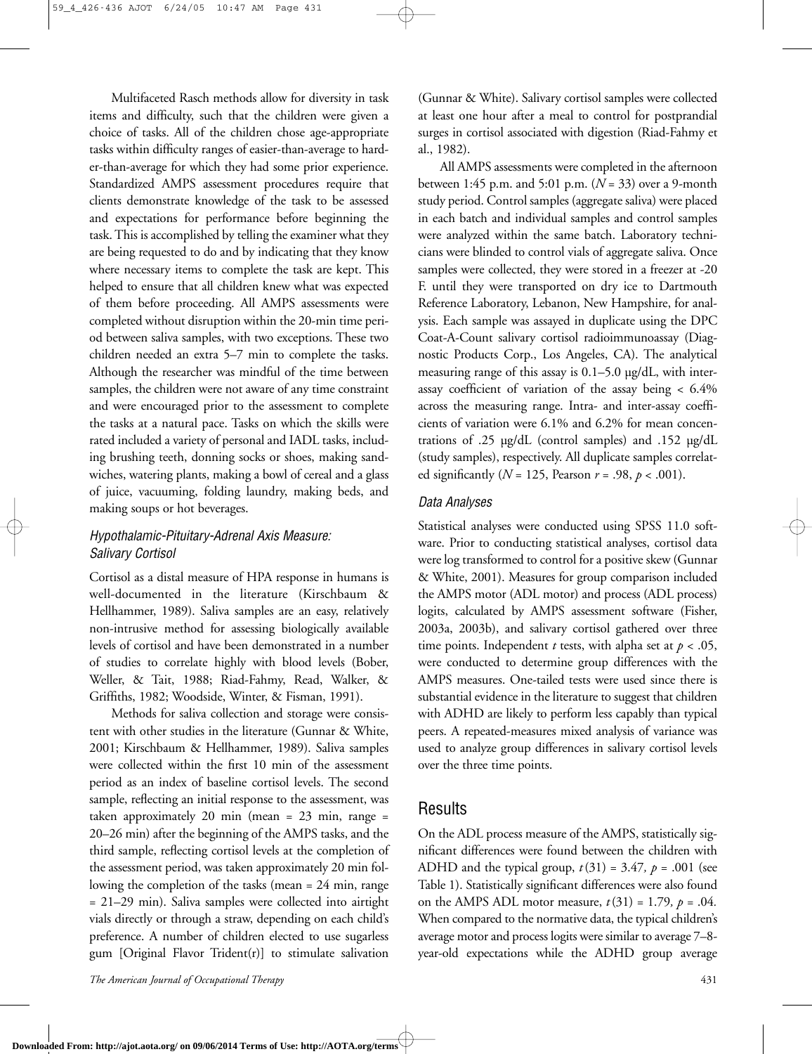Multifaceted Rasch methods allow for diversity in task items and difficulty, such that the children were given a choice of tasks. All of the children chose age-appropriate tasks within difficulty ranges of easier-than-average to harder-than-average for which they had some prior experience. Standardized AMPS assessment procedures require that clients demonstrate knowledge of the task to be assessed and expectations for performance before beginning the task. This is accomplished by telling the examiner what they are being requested to do and by indicating that they know where necessary items to complete the task are kept. This helped to ensure that all children knew what was expected of them before proceeding. All AMPS assessments were completed without disruption within the 20-min time period between saliva samples, with two exceptions. These two children needed an extra 5–7 min to complete the tasks. Although the researcher was mindful of the time between samples, the children were not aware of any time constraint and were encouraged prior to the assessment to complete the tasks at a natural pace. Tasks on which the skills were rated included a variety of personal and IADL tasks, including brushing teeth, donning socks or shoes, making sandwiches, watering plants, making a bowl of cereal and a glass of juice, vacuuming, folding laundry, making beds, and making soups or hot beverages.

#### *Hypothalamic-Pituitary-Adrenal Axis Measure: Salivary Cortisol*

Cortisol as a distal measure of HPA response in humans is well-documented in the literature (Kirschbaum & Hellhammer, 1989). Saliva samples are an easy, relatively non-intrusive method for assessing biologically available levels of cortisol and have been demonstrated in a number of studies to correlate highly with blood levels (Bober, Weller, & Tait, 1988; Riad-Fahmy, Read, Walker, & Griffiths, 1982; Woodside, Winter, & Fisman, 1991).

Methods for saliva collection and storage were consistent with other studies in the literature (Gunnar & White, 2001; Kirschbaum & Hellhammer, 1989). Saliva samples were collected within the first 10 min of the assessment period as an index of baseline cortisol levels. The second sample, reflecting an initial response to the assessment, was taken approximately 20 min (mean = 23 min, range = 20–26 min) after the beginning of the AMPS tasks, and the third sample, reflecting cortisol levels at the completion of the assessment period, was taken approximately 20 min following the completion of the tasks (mean = 24 min, range = 21–29 min). Saliva samples were collected into airtight vials directly or through a straw, depending on each child's preference. A number of children elected to use sugarless gum [Original Flavor Trident(r)] to stimulate salivation

(Gunnar & White). Salivary cortisol samples were collected at least one hour after a meal to control for postprandial surges in cortisol associated with digestion (Riad-Fahmy et al., 1982).

All AMPS assessments were completed in the afternoon between 1:45 p.m. and 5:01 p.m. (*N* = 33) over a 9-month study period. Control samples (aggregate saliva) were placed in each batch and individual samples and control samples were analyzed within the same batch. Laboratory technicians were blinded to control vials of aggregate saliva. Once samples were collected, they were stored in a freezer at -20 F. until they were transported on dry ice to Dartmouth Reference Laboratory, Lebanon, New Hampshire, for analysis. Each sample was assayed in duplicate using the DPC Coat-A-Count salivary cortisol radioimmunoassay (Diagnostic Products Corp., Los Angeles, CA). The analytical measuring range of this assay is 0.1–5.0 µg/dL, with interassay coefficient of variation of the assay being < 6.4% across the measuring range. Intra- and inter-assay coefficients of variation were 6.1% and 6.2% for mean concentrations of .25 µg/dL (control samples) and .152 µg/dL (study samples), respectively. All duplicate samples correlated significantly (*N* = 125, Pearson *r* = .98, *p* < .001).

#### *Data Analyses*

Statistical analyses were conducted using SPSS 11.0 software. Prior to conducting statistical analyses, cortisol data were log transformed to control for a positive skew (Gunnar & White, 2001). Measures for group comparison included the AMPS motor (ADL motor) and process (ADL process) logits, calculated by AMPS assessment software (Fisher, 2003a, 2003b), and salivary cortisol gathered over three time points. Independent *t* tests, with alpha set at  $p < .05$ , were conducted to determine group differences with the AMPS measures. One-tailed tests were used since there is substantial evidence in the literature to suggest that children with ADHD are likely to perform less capably than typical peers. A repeated-measures mixed analysis of variance was used to analyze group differences in salivary cortisol levels over the three time points.

### Results

On the ADL process measure of the AMPS, statistically significant differences were found between the children with ADHD and the typical group,  $t(31) = 3.47$ ,  $p = .001$  (see Table 1). Statistically significant differences were also found on the AMPS ADL motor measure,  $t(31) = 1.79$ ,  $p = .04$ . When compared to the normative data, the typical children's average motor and process logits were similar to average 7–8 year-old expectations while the ADHD group average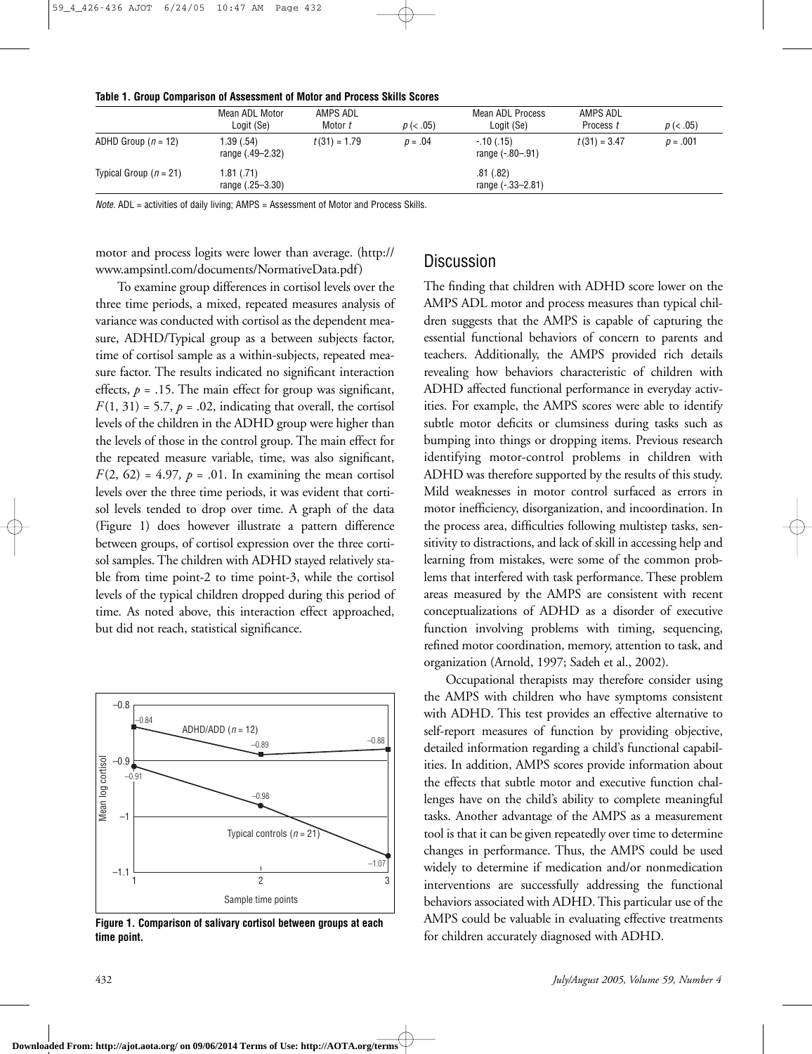| TABLE 1. CHUUD GUINDANSUN UN MSSESSINGHL UN MULUI ANU FTUGESS ONNIS OGUIES | Mean ADL Motor<br>Logit (Se)   | AMPS ADL<br>Motor t | $p \ (< .05)$ | Mean ADL Process<br>Logit (Se)  | AMPS ADL<br>Process t | $p \ (< .05)$ |
|----------------------------------------------------------------------------|--------------------------------|---------------------|---------------|---------------------------------|-----------------------|---------------|
| ADHD Group $(n = 12)$                                                      | 1.39 (.54)<br>range (.49–2.32) | $t(31) = 1.79$      | $p = .04$     | $-10(0.15)$<br>range (-.80-.91) | $t(31) = 3.47$        | $p = .001$    |
| Typical Group ( $n = 21$ )                                                 | 1.81(0.71)<br>range (.25–3.30) |                     |               | .81 (.82)<br>range (-.33-2.81)  |                       |               |

#### **Table 1. Group Comparison of Assessment of Motor and Process Skills Scores**

*Note.* ADL = activities of daily living; AMPS = Assessment of Motor and Process Skills.

motor and process logits were lower than average. (http:// www.ampsintl.com/documents/NormativeData.pdf)

To examine group differences in cortisol levels over the three time periods, a mixed, repeated measures analysis of variance was conducted with cortisol as the dependent measure, ADHD/Typical group as a between subjects factor, time of cortisol sample as a within-subjects, repeated measure factor. The results indicated no significant interaction effects,  $p = .15$ . The main effect for group was significant,  $F(1, 31) = 5.7$ ,  $p = .02$ , indicating that overall, the cortisol levels of the children in the ADHD group were higher than the levels of those in the control group. The main effect for the repeated measure variable, time, was also significant,  $F(2, 62) = 4.97$ ,  $p = .01$ . In examining the mean cortisol levels over the three time periods, it was evident that cortisol levels tended to drop over time. A graph of the data (Figure 1) does however illustrate a pattern difference between groups, of cortisol expression over the three cortisol samples. The children with ADHD stayed relatively stable from time point-2 to time point-3, while the cortisol levels of the typical children dropped during this period of time. As noted above, this interaction effect approached, but did not reach, statistical significance.



**Figure 1. Comparison of salivary cortisol between groups at each time point.**

### **Discussion**

The finding that children with ADHD score lower on the AMPS ADL motor and process measures than typical children suggests that the AMPS is capable of capturing the essential functional behaviors of concern to parents and teachers. Additionally, the AMPS provided rich details revealing how behaviors characteristic of children with ADHD affected functional performance in everyday activities. For example, the AMPS scores were able to identify subtle motor deficits or clumsiness during tasks such as bumping into things or dropping items. Previous research identifying motor-control problems in children with ADHD was therefore supported by the results of this study. Mild weaknesses in motor control surfaced as errors in motor inefficiency, disorganization, and incoordination. In the process area, difficulties following multistep tasks, sensitivity to distractions, and lack of skill in accessing help and learning from mistakes, were some of the common problems that interfered with task performance. These problem areas measured by the AMPS are consistent with recent conceptualizations of ADHD as a disorder of executive function involving problems with timing, sequencing, refined motor coordination, memory, attention to task, and organization (Arnold, 1997; Sadeh et al., 2002).

Occupational therapists may therefore consider using the AMPS with children who have symptoms consistent with ADHD. This test provides an effective alternative to self-report measures of function by providing objective, detailed information regarding a child's functional capabilities. In addition, AMPS scores provide information about the effects that subtle motor and executive function challenges have on the child's ability to complete meaningful tasks. Another advantage of the AMPS as a measurement tool is that it can be given repeatedly over time to determine changes in performance. Thus, the AMPS could be used widely to determine if medication and/or nonmedication interventions are successfully addressing the functional behaviors associated with ADHD. This particular use of the AMPS could be valuable in evaluating effective treatments for children accurately diagnosed with ADHD.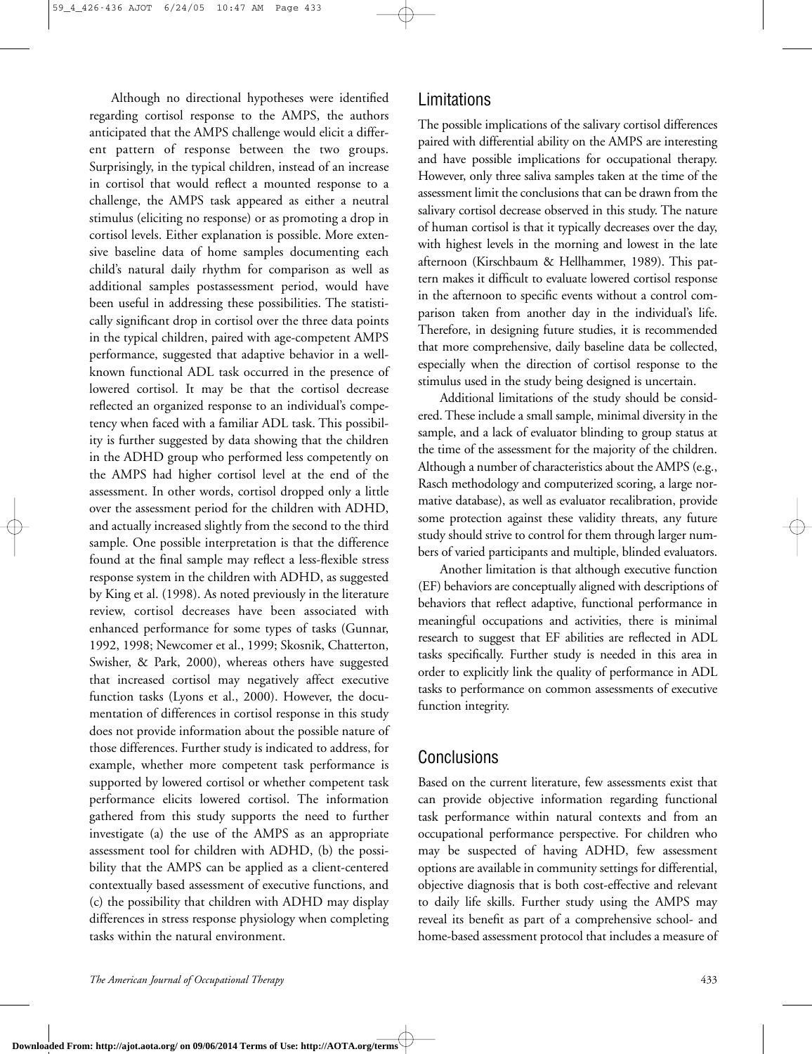Although no directional hypotheses were identified regarding cortisol response to the AMPS, the authors anticipated that the AMPS challenge would elicit a different pattern of response between the two groups. Surprisingly, in the typical children, instead of an increase in cortisol that would reflect a mounted response to a challenge, the AMPS task appeared as either a neutral stimulus (eliciting no response) or as promoting a drop in cortisol levels. Either explanation is possible. More extensive baseline data of home samples documenting each child's natural daily rhythm for comparison as well as additional samples postassessment period, would have been useful in addressing these possibilities. The statistically significant drop in cortisol over the three data points in the typical children, paired with age-competent AMPS performance, suggested that adaptive behavior in a wellknown functional ADL task occurred in the presence of lowered cortisol. It may be that the cortisol decrease reflected an organized response to an individual's competency when faced with a familiar ADL task. This possibility is further suggested by data showing that the children in the ADHD group who performed less competently on the AMPS had higher cortisol level at the end of the assessment. In other words, cortisol dropped only a little over the assessment period for the children with ADHD, and actually increased slightly from the second to the third sample. One possible interpretation is that the difference found at the final sample may reflect a less-flexible stress response system in the children with ADHD, as suggested by King et al. (1998). As noted previously in the literature review, cortisol decreases have been associated with enhanced performance for some types of tasks (Gunnar, 1992, 1998; Newcomer et al., 1999; Skosnik, Chatterton, Swisher, & Park, 2000), whereas others have suggested that increased cortisol may negatively affect executive function tasks (Lyons et al., 2000). However, the documentation of differences in cortisol response in this study does not provide information about the possible nature of those differences. Further study is indicated to address, for example, whether more competent task performance is supported by lowered cortisol or whether competent task performance elicits lowered cortisol. The information gathered from this study supports the need to further investigate (a) the use of the AMPS as an appropriate assessment tool for children with ADHD, (b) the possibility that the AMPS can be applied as a client-centered contextually based assessment of executive functions, and (c) the possibility that children with ADHD may display differences in stress response physiology when completing tasks within the natural environment.

### Limitations

The possible implications of the salivary cortisol differences paired with differential ability on the AMPS are interesting and have possible implications for occupational therapy. However, only three saliva samples taken at the time of the assessment limit the conclusions that can be drawn from the salivary cortisol decrease observed in this study. The nature of human cortisol is that it typically decreases over the day, with highest levels in the morning and lowest in the late afternoon (Kirschbaum & Hellhammer, 1989). This pattern makes it difficult to evaluate lowered cortisol response in the afternoon to specific events without a control comparison taken from another day in the individual's life. Therefore, in designing future studies, it is recommended that more comprehensive, daily baseline data be collected, especially when the direction of cortisol response to the stimulus used in the study being designed is uncertain.

Additional limitations of the study should be considered. These include a small sample, minimal diversity in the sample, and a lack of evaluator blinding to group status at the time of the assessment for the majority of the children. Although a number of characteristics about the AMPS (e.g., Rasch methodology and computerized scoring, a large normative database), as well as evaluator recalibration, provide some protection against these validity threats, any future study should strive to control for them through larger numbers of varied participants and multiple, blinded evaluators.

Another limitation is that although executive function (EF) behaviors are conceptually aligned with descriptions of behaviors that reflect adaptive, functional performance in meaningful occupations and activities, there is minimal research to suggest that EF abilities are reflected in ADL tasks specifically. Further study is needed in this area in order to explicitly link the quality of performance in ADL tasks to performance on common assessments of executive function integrity.

## Conclusions

Based on the current literature, few assessments exist that can provide objective information regarding functional task performance within natural contexts and from an occupational performance perspective. For children who may be suspected of having ADHD, few assessment options are available in community settings for differential, objective diagnosis that is both cost-effective and relevant to daily life skills. Further study using the AMPS may reveal its benefit as part of a comprehensive school- and home-based assessment protocol that includes a measure of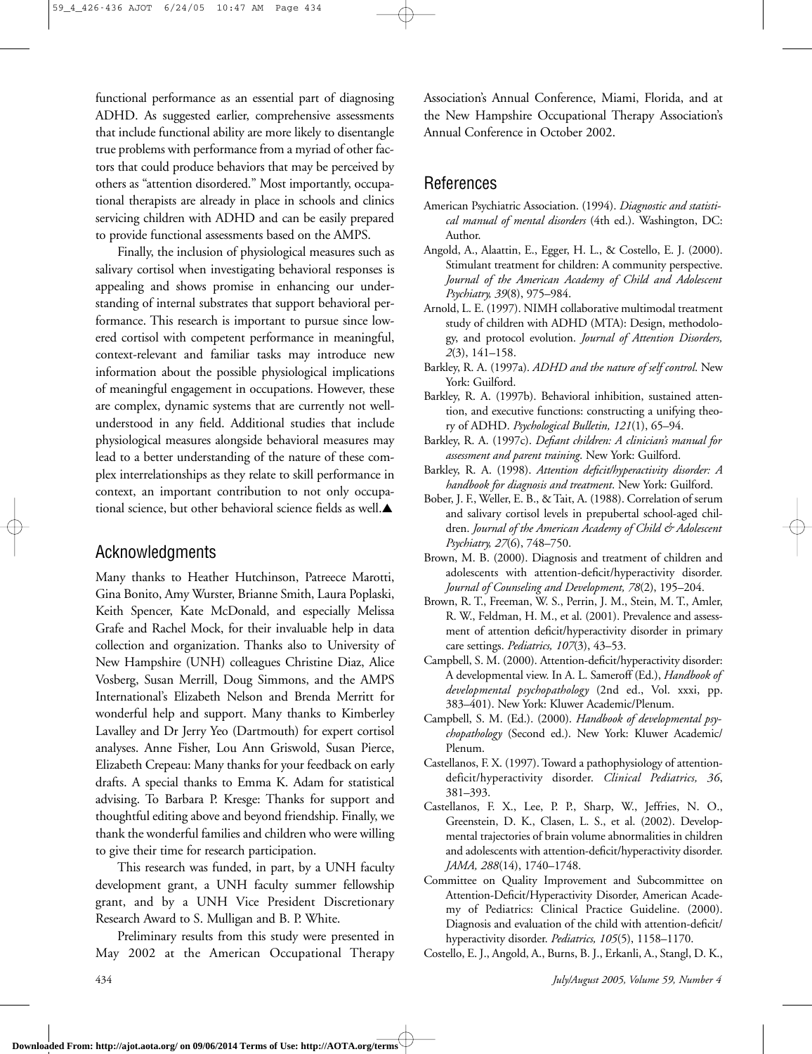functional performance as an essential part of diagnosing ADHD. As suggested earlier, comprehensive assessments that include functional ability are more likely to disentangle true problems with performance from a myriad of other factors that could produce behaviors that may be perceived by others as "attention disordered." Most importantly, occupational therapists are already in place in schools and clinics servicing children with ADHD and can be easily prepared to provide functional assessments based on the AMPS.

Finally, the inclusion of physiological measures such as salivary cortisol when investigating behavioral responses is appealing and shows promise in enhancing our understanding of internal substrates that support behavioral performance. This research is important to pursue since lowered cortisol with competent performance in meaningful, context-relevant and familiar tasks may introduce new information about the possible physiological implications of meaningful engagement in occupations. However, these are complex, dynamic systems that are currently not wellunderstood in any field. Additional studies that include physiological measures alongside behavioral measures may lead to a better understanding of the nature of these complex interrelationships as they relate to skill performance in context, an important contribution to not only occupational science, but other behavioral science fields as well.**▲**

### Acknowledgments

Many thanks to Heather Hutchinson, Patreece Marotti, Gina Bonito, Amy Wurster, Brianne Smith, Laura Poplaski, Keith Spencer, Kate McDonald, and especially Melissa Grafe and Rachel Mock, for their invaluable help in data collection and organization. Thanks also to University of New Hampshire (UNH) colleagues Christine Diaz, Alice Vosberg, Susan Merrill, Doug Simmons, and the AMPS International's Elizabeth Nelson and Brenda Merritt for wonderful help and support. Many thanks to Kimberley Lavalley and Dr Jerry Yeo (Dartmouth) for expert cortisol analyses. Anne Fisher, Lou Ann Griswold, Susan Pierce, Elizabeth Crepeau: Many thanks for your feedback on early drafts. A special thanks to Emma K. Adam for statistical advising. To Barbara P. Kresge: Thanks for support and thoughtful editing above and beyond friendship. Finally, we thank the wonderful families and children who were willing to give their time for research participation.

This research was funded, in part, by a UNH faculty development grant, a UNH faculty summer fellowship grant, and by a UNH Vice President Discretionary Research Award to S. Mulligan and B. P. White.

Preliminary results from this study were presented in May 2002 at the American Occupational Therapy Association's Annual Conference, Miami, Florida, and at the New Hampshire Occupational Therapy Association's Annual Conference in October 2002.

### References

- American Psychiatric Association. (1994). *Diagnostic and statistical manual of mental disorders* (4th ed.). Washington, DC: Author.
- Angold, A., Alaattin, E., Egger, H. L., & Costello, E. J. (2000). Stimulant treatment for children: A community perspective. *Journal of the American Academy of Child and Adolescent Psychiatry, 39*(8), 975–984.
- Arnold, L. E. (1997). NIMH collaborative multimodal treatment study of children with ADHD (MTA): Design, methodology, and protocol evolution. *Journal of Attention Disorders, 2*(3), 141–158.
- Barkley, R. A. (1997a). *ADHD and the nature of self control*. New York: Guilford.
- Barkley, R. A. (1997b). Behavioral inhibition, sustained attention, and executive functions: constructing a unifying theory of ADHD. *Psychological Bulletin, 121*(1), 65–94.
- Barkley, R. A. (1997c). *Defiant children: A clinician's manual for assessment and parent training*. New York: Guilford.
- Barkley, R. A. (1998). *Attention deficit/hyperactivity disorder: A handbook for diagnosis and treatment*. New York: Guilford.
- Bober, J. F., Weller, E. B., & Tait, A. (1988). Correlation of serum and salivary cortisol levels in prepubertal school-aged children. *Journal of the American Academy of Child & Adolescent Psychiatry, 27*(6), 748–750.
- Brown, M. B. (2000). Diagnosis and treatment of children and adolescents with attention-deficit/hyperactivity disorder. *Journal of Counseling and Development, 78*(2), 195–204.
- Brown, R. T., Freeman, W. S., Perrin, J. M., Stein, M. T., Amler, R. W., Feldman, H. M., et al. (2001). Prevalence and assessment of attention deficit/hyperactivity disorder in primary care settings. *Pediatrics, 107*(3), 43–53.
- Campbell, S. M. (2000). Attention-deficit/hyperactivity disorder: A developmental view. In A. L. Sameroff (Ed.), *Handbook of developmental psychopathology* (2nd ed., Vol. xxxi, pp. 383–401). New York: Kluwer Academic/Plenum.
- Campbell, S. M. (Ed.). (2000). *Handbook of developmental psychopathology* (Second ed.). New York: Kluwer Academic/ Plenum.
- Castellanos, F. X. (1997). Toward a pathophysiology of attentiondeficit/hyperactivity disorder. *Clinical Pediatrics, 36*, 381–393.
- Castellanos, F. X., Lee, P. P., Sharp, W., Jeffries, N. O., Greenstein, D. K., Clasen, L. S., et al. (2002). Developmental trajectories of brain volume abnormalities in children and adolescents with attention-deficit/hyperactivity disorder. *JAMA, 288*(14), 1740–1748.
- Committee on Quality Improvement and Subcommittee on Attention-Deficit/Hyperactivity Disorder, American Academy of Pediatrics: Clinical Practice Guideline. (2000). Diagnosis and evaluation of the child with attention-deficit/ hyperactivity disorder. *Pediatrics, 105*(5), 1158–1170.
- Costello, E. J., Angold, A., Burns, B. J., Erkanli, A., Stangl, D. K.,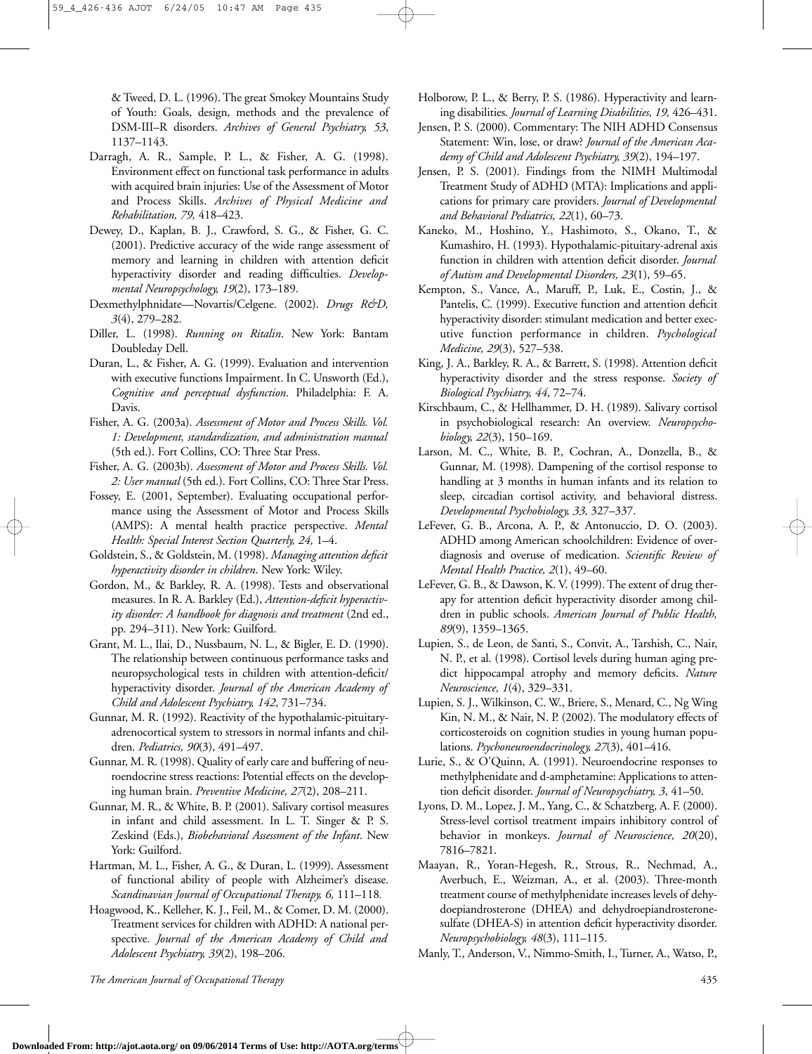& Tweed, D. L. (1996). The great Smokey Mountains Study of Youth: Goals, design, methods and the prevalence of DSM-III–R disorders. *Archives of General Psychiatry, 53*, 1137–1143.

- Darragh, A. R., Sample, P. L., & Fisher, A. G. (1998). Environment effect on functional task performance in adults with acquired brain injuries: Use of the Assessment of Motor and Process Skills. *Archives of Physical Medicine and Rehabilitation, 79,* 418–423.
- Dewey, D., Kaplan, B. J., Crawford, S. G., & Fisher, G. C. (2001). Predictive accuracy of the wide range assessment of memory and learning in children with attention deficit hyperactivity disorder and reading difficulties. *Developmental Neuropsychology, 19*(2), 173–189.
- Dexmethylphnidate—Novartis/Celgene. (2002). *Drugs R&D, 3*(4), 279–282.
- Diller, L. (1998). *Running on Ritalin*. New York: Bantam Doubleday Dell.
- Duran, L., & Fisher, A. G. (1999). Evaluation and intervention with executive functions Impairment. In C. Unsworth (Ed.), *Cognitive and perceptual dysfunction*. Philadelphia: F. A. Davis.
- Fisher, A. G. (2003a). *Assessment of Motor and Process Skills. Vol. 1: Development, standardization, and administration manual* (5th ed.). Fort Collins, CO: Three Star Press.
- Fisher, A. G. (2003b). *Assessment of Motor and Process Skills. Vol. 2: User manual* (5th ed.). Fort Collins, CO: Three Star Press.
- Fossey, E. (2001, September). Evaluating occupational performance using the Assessment of Motor and Process Skills (AMPS): A mental health practice perspective. *Mental Health: Special Interest Section Quarterly, 24,* 1–4.
- Goldstein, S., & Goldstein, M. (1998). *Managing attention deficit hyperactivity disorder in children*. New York: Wiley.
- Gordon, M., & Barkley, R. A. (1998). Tests and observational measures. In R. A. Barkley (Ed.), *Attention-deficit hyperactivity disorder: A handbook for diagnosis and treatment* (2nd ed., pp. 294–311). New York: Guilford.
- Grant, M. L., Ilai, D., Nussbaum, N. L., & Bigler, E. D. (1990). The relationship between continuous performance tasks and neuropsychological tests in children with attention-deficit/ hyperactivity disorder. *Journal of the American Academy of Child and Adolescent Psychiatry, 142*, 731–734.
- Gunnar, M. R. (1992). Reactivity of the hypothalamic-pituitaryadrenocortical system to stressors in normal infants and children. *Pediatrics, 90*(3), 491–497.
- Gunnar, M. R. (1998). Quality of early care and buffering of neuroendocrine stress reactions: Potential effects on the developing human brain. *Preventive Medicine, 27*(2), 208–211.
- Gunnar, M. R., & White, B. P. (2001). Salivary cortisol measures in infant and child assessment. In L. T. Singer & P. S. Zeskind (Eds.), *Biobehavioral Assessment of the Infant*. New York: Guilford.
- Hartman, M. L., Fisher, A. G., & Duran, L. (1999). Assessment of functional ability of people with Alzheimer's disease. *Scandinavian Journal of Occupational Therapy, 6,* 111–118*.*
- Hoagwood, K., Kelleher, K. J., Feil, M., & Comer, D. M. (2000). Treatment services for children with ADHD: A national perspective. *Journal of the American Academy of Child and Adolescent Psychiatry, 39*(2), 198–206.
- Holborow, P. L., & Berry, P. S. (1986). Hyperactivity and learning disabilities. *Journal of Learning Disabilities, 19,* 426–431.
- Jensen, P. S. (2000). Commentary: The NIH ADHD Consensus Statement: Win, lose, or draw? *Journal of the American Academy of Child and Adolescent Psychiatry, 39*(2), 194–197.
- Jensen, P. S. (2001). Findings from the NIMH Multimodal Treatment Study of ADHD (MTA): Implications and applications for primary care providers. *Journal of Developmental and Behavioral Pediatrics, 22*(1), 60–73.
- Kaneko, M., Hoshino, Y., Hashimoto, S., Okano, T., & Kumashiro, H. (1993). Hypothalamic-pituitary-adrenal axis function in children with attention deficit disorder. *Journal of Autism and Developmental Disorders, 23*(1), 59–65.
- Kempton, S., Vance, A., Maruff, P., Luk, E., Costin, J., & Pantelis, C. (1999). Executive function and attention deficit hyperactivity disorder: stimulant medication and better executive function performance in children. *Psychological Medicine, 29*(3), 527–538.
- King, J. A., Barkley, R. A., & Barrett, S. (1998). Attention deficit hyperactivity disorder and the stress response. *Society of Biological Psychiatry, 44*, 72–74.
- Kirschbaum, C., & Hellhammer, D. H. (1989). Salivary cortisol in psychobiological research: An overview. *Neuropsychobiology, 22*(3), 150–169.
- Larson, M. C., White, B. P., Cochran, A., Donzella, B., & Gunnar, M. (1998). Dampening of the cortisol response to handling at 3 months in human infants and its relation to sleep, circadian cortisol activity, and behavioral distress. *Developmental Psychobiology, 33,* 327–337.
- LeFever, G. B., Arcona, A. P., & Antonuccio, D. O. (2003). ADHD among American schoolchildren: Evidence of overdiagnosis and overuse of medication. *Scientific Review of Mental Health Practice, 2*(1), 49–60.
- LeFever, G. B., & Dawson, K. V. (1999). The extent of drug therapy for attention deficit hyperactivity disorder among children in public schools. *American Journal of Public Health, 89*(9), 1359–1365.
- Lupien, S., de Leon, de Santi, S., Convit, A., Tarshish, C., Nair, N. P., et al. (1998). Cortisol levels during human aging predict hippocampal atrophy and memory deficits. *Nature Neuroscience, 1*(4), 329–331.
- Lupien, S. J., Wilkinson, C. W., Briere, S., Menard, C., Ng Wing Kin, N. M., & Nair, N. P. (2002). The modulatory effects of corticosteroids on cognition studies in young human populations. *Psychoneuroendocrinology, 27*(3), 401–416.
- Lurie, S., & O'Quinn, A. (1991). Neuroendocrine responses to methylphenidate and d-amphetamine: Applications to attention deficit disorder. *Journal of Neuropsychiatry, 3*, 41–50.
- Lyons, D. M., Lopez, J. M., Yang, C., & Schatzberg, A. F. (2000). Stress-level cortisol treatment impairs inhibitory control of behavior in monkeys. *Journal of Neuroscience, 20*(20), 7816–7821.
- Maayan, R., Yoran-Hegesh, R., Strous, R., Nechmad, A., Averbuch, E., Weizman, A., et al. (2003). Three-month treatment course of methylphenidate increases levels of dehydoepiandrosterone (DHEA) and dehydroepiandrosteronesulfate (DHEA-S) in attention deficit hyperactivity disorder. *Neuropsychobiology, 48*(3), 111–115.
- Manly, T., Anderson, V., Nimmo-Smith, I., Turner, A., Watso, P.,